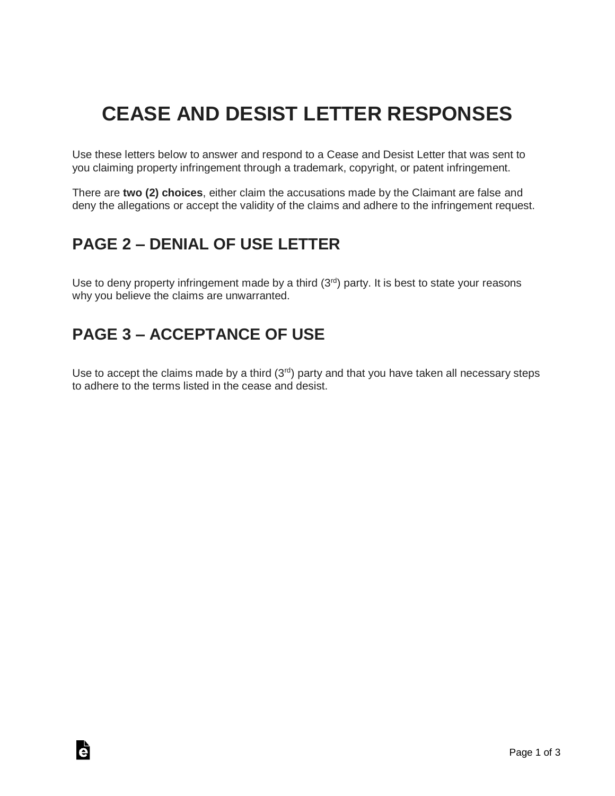# **CEASE AND DESIST LETTER RESPONSES**

Use these letters below to answer and respond to a Cease and Desist Letter that was sent to you claiming property infringement through a trademark, copyright, or patent infringement.

There are **two (2) choices**, either claim the accusations made by the Claimant are false and deny the allegations or accept the validity of the claims and adhere to the infringement request.

### **PAGE 2 – DENIAL OF USE LETTER**

Use to deny property infringement made by a third  $(3<sup>rd</sup>)$  party. It is best to state your reasons why you believe the claims are unwarranted.

### **PAGE 3 – ACCEPTANCE OF USE**

Ġ

Use to accept the claims made by a third  $(3<sup>rd</sup>)$  party and that you have taken all necessary steps to adhere to the terms listed in the cease and desist.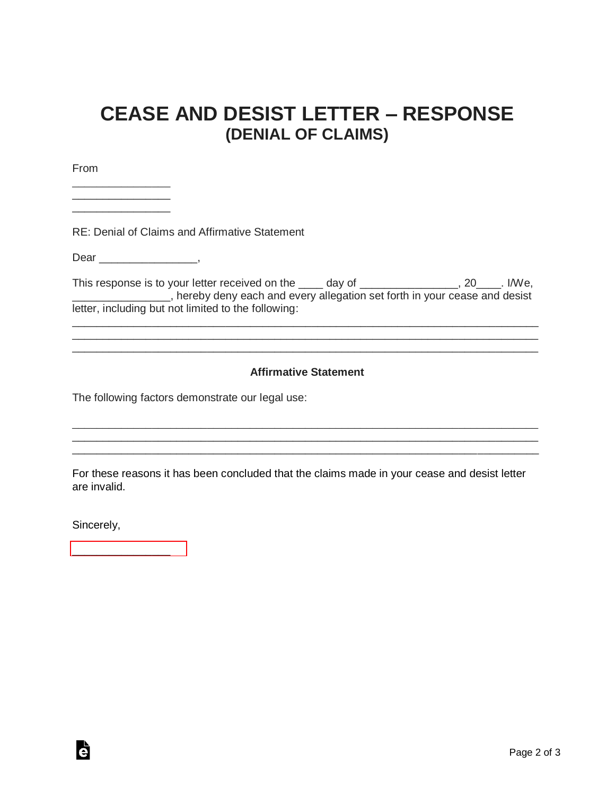# **CEASE AND DESIST LETTER – RESPONSE (DENIAL OF CLAIMS)**

From

RE: Denial of Claims and Affirmative Statement

Dear \_\_\_\_\_\_\_\_\_\_\_\_\_\_\_\_\_,

\_\_\_\_\_\_\_\_\_\_\_\_\_\_\_\_ \_\_\_\_\_\_\_\_\_\_\_\_\_\_\_\_ \_\_\_\_\_\_\_\_\_\_\_\_\_\_\_\_

This response is to your letter received on the \_\_\_\_ day of \_\_\_\_\_\_\_\_\_\_\_\_\_\_, 20\_\_\_\_. I/We, **The contract of the set of the set of the set of the set of the set of the set of the set of the set of the set of the set of the set of the set of the set of the set of the set of the set of the set of the set of the set** letter, including but not limited to the following:

\_\_\_\_\_\_\_\_\_\_\_\_\_\_\_\_\_\_\_\_\_\_\_\_\_\_\_\_\_\_\_\_\_\_\_\_\_\_\_\_\_\_\_\_\_\_\_\_\_\_\_\_\_\_\_\_\_\_\_\_\_\_\_\_\_\_\_\_\_\_\_\_\_\_\_\_ \_\_\_\_\_\_\_\_\_\_\_\_\_\_\_\_\_\_\_\_\_\_\_\_\_\_\_\_\_\_\_\_\_\_\_\_\_\_\_\_\_\_\_\_\_\_\_\_\_\_\_\_\_\_\_\_\_\_\_\_\_\_\_\_\_\_\_\_\_\_\_\_\_\_\_\_ \_\_\_\_\_\_\_\_\_\_\_\_\_\_\_\_\_\_\_\_\_\_\_\_\_\_\_\_\_\_\_\_\_\_\_\_\_\_\_\_\_\_\_\_\_\_\_\_\_\_\_\_\_\_\_\_\_\_\_\_\_\_\_\_\_\_\_\_\_\_\_\_\_\_\_\_

#### **Affirmative Statement**

\_\_\_\_\_\_\_\_\_\_\_\_\_\_\_\_\_\_\_\_\_\_\_\_\_\_\_\_\_\_\_\_\_\_\_\_\_\_\_\_\_\_\_\_\_\_\_\_\_\_\_\_\_\_\_\_\_\_\_\_\_\_\_\_\_\_\_\_\_\_\_\_\_\_\_\_ \_\_\_\_\_\_\_\_\_\_\_\_\_\_\_\_\_\_\_\_\_\_\_\_\_\_\_\_\_\_\_\_\_\_\_\_\_\_\_\_\_\_\_\_\_\_\_\_\_\_\_\_\_\_\_\_\_\_\_\_\_\_\_\_\_\_\_\_\_\_\_\_\_\_\_\_ \_\_\_\_\_\_\_\_\_\_\_\_\_\_\_\_\_\_\_\_\_\_\_\_\_\_\_\_\_\_\_\_\_\_\_\_\_\_\_\_\_\_\_\_\_\_\_\_\_\_\_\_\_\_\_\_\_\_\_\_\_\_\_\_\_\_\_\_\_\_\_\_\_\_\_\_

The following factors demonstrate our legal use:

For these reasons it has been concluded that the claims made in your cease and desist letter are invalid.

Sincerely,

Ġ

[\\_\\_\\_\\_\\_\\_\\_\\_\\_\\_\\_\\_\\_\\_\\_\\_](https://esign.com)